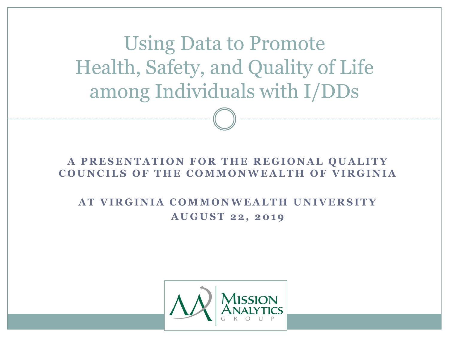Using Data to Promote Health, Safety, and Quality of Life among Individuals with I/DDs

#### **A PRESENTATION FOR THE REGIONAL QUALITY COUNCILS OF THE COMMONWEALTH OF VIRGINIA**

#### **A T V I R G I N I A C O M M O N W E A L T H U N I V E R S I T Y A U G U S T 2 2 , 2 0 1 9**

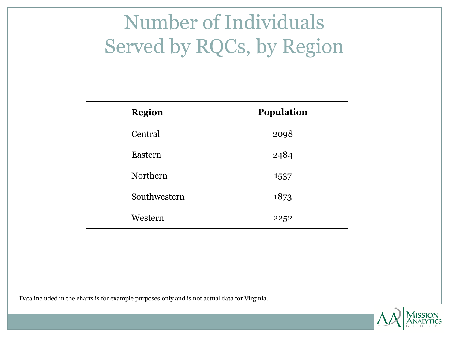# Number of Individuals Served by RQCs, by Region

| <b>Region</b> | <b>Population</b> |
|---------------|-------------------|
| Central       | 2098              |
| Eastern       | 2484              |
| Northern      | 1537              |
| Southwestern  | 1873              |
| Western       | 2252              |

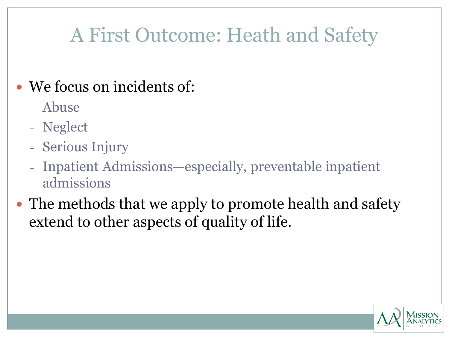# A First Outcome: Heath and Safety

#### We focus on incidents of:

- Abuse
- Neglect
- Serious Injury
- Inpatient Admissions—especially, preventable inpatient admissions
- The methods that we apply to promote health and safety extend to other aspects of quality of life.

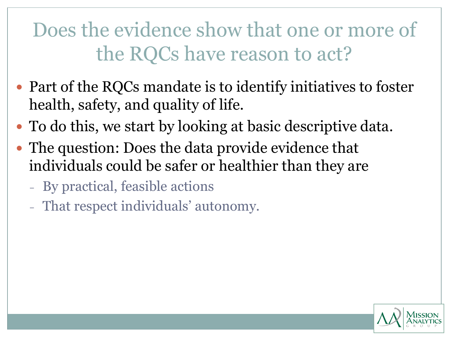# Does the evidence show that one or more of the RQCs have reason to act?

- Part of the RQCs mandate is to identify initiatives to foster health, safety, and quality of life.
- To do this, we start by looking at basic descriptive data.
- The question: Does the data provide evidence that individuals could be safer or healthier than they are
	- By practical, feasible actions
	- That respect individuals' autonomy.

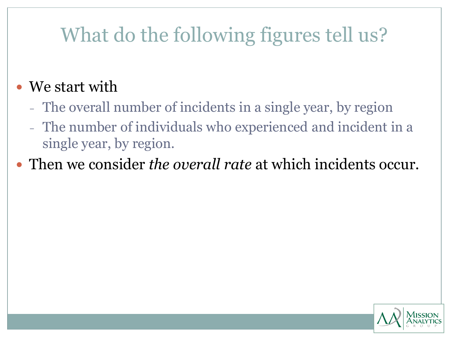# What do the following figures tell us?

#### • We start with

- The overall number of incidents in a single year, by region
- The number of individuals who experienced and incident in a single year, by region.
- Then we consider *the overall rate* at which incidents occur.

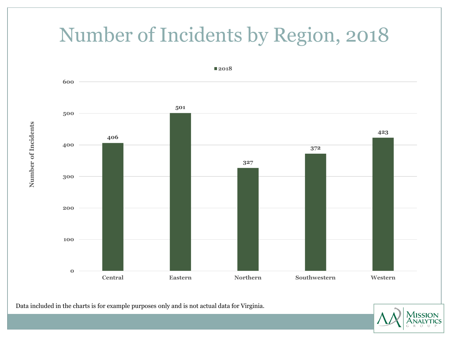#### Number of Incidents by Region, 2018



Data included in the charts is for example purposes only and is not actual data for Virginia.



Number of Incidents **Number of Incidents**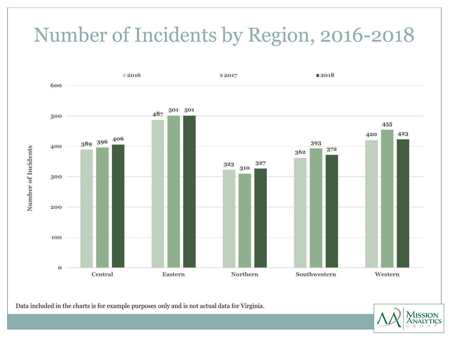# Number of Incidents by Region, 2016-2018



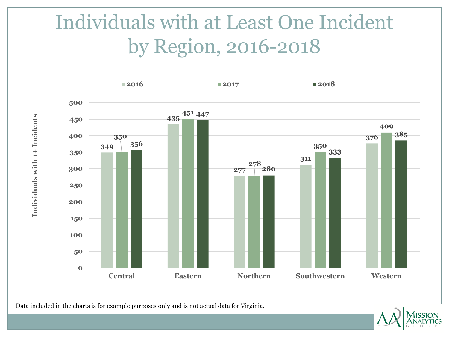# Individuals with at Least One Incident by Region, 2016-2018



Data included in the charts is for example purposes only and is not actual data for Virginia.



Individuals with 1+ Incidents **Individuals with 1+ Incidents**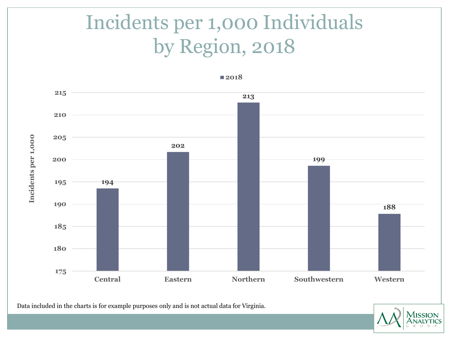# Incidents per 1,000 Individuals by Region, 2018



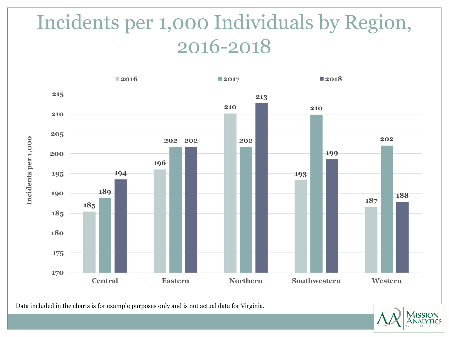# Incidents per 1,000 Individuals by Region, 2016-2018



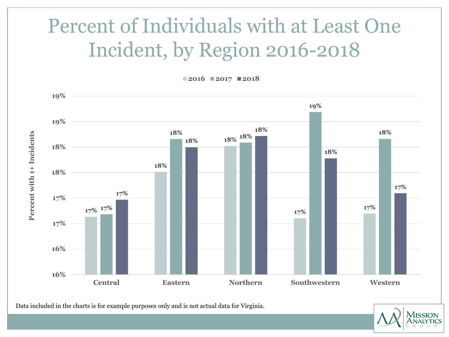# Percent of Individuals with at Least One Incident, by Region 2016-2018

**2016 2017 2018**



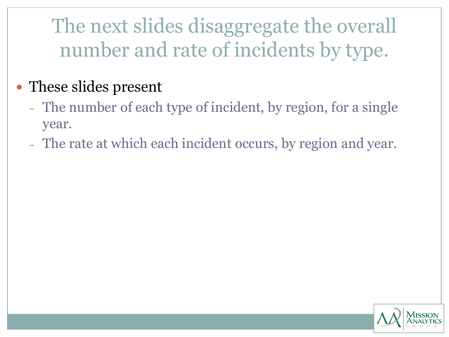The next slides disaggregate the overall number and rate of incidents by type.

#### • These slides present

- The number of each type of incident, by region, for a single year.
- The rate at which each incident occurs, by region and year.

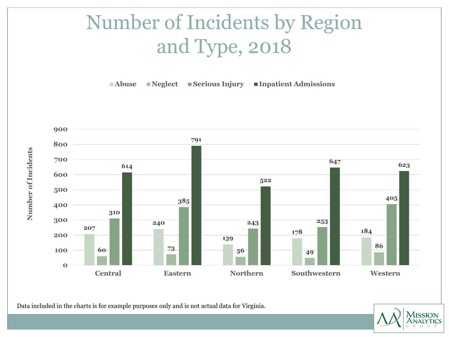# Number of Incidents by Region and Type, 2018

**Abuse Neglect Serious Injury Inpatient Admissions**



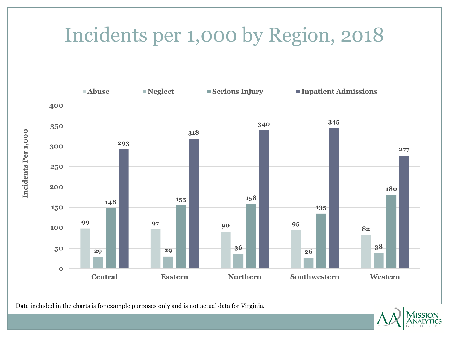#### Incidents per 1,000 by Region, 2018



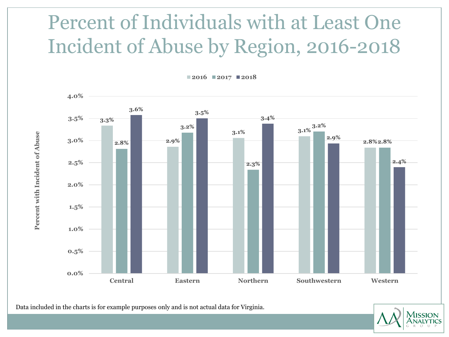# Percent of Individuals with at Least One Incident of Abuse by Region, 2016-2018

**2016 2017 2018**

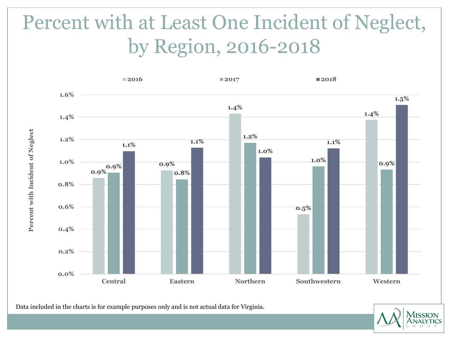# Percent with at Least One Incident of Neglect, by Region, 2016-2018



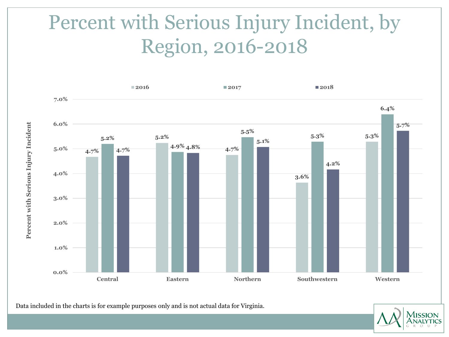# Percent with Serious Injury Incident, by Region, 2016-2018



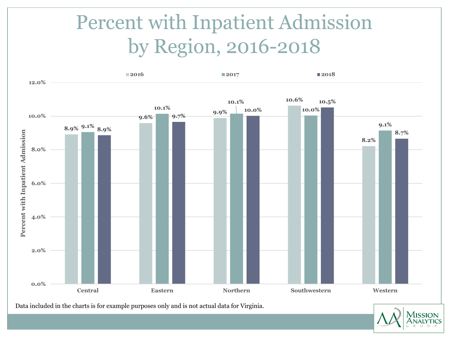# Percent with Inpatient Admission by Region, 2016-2018



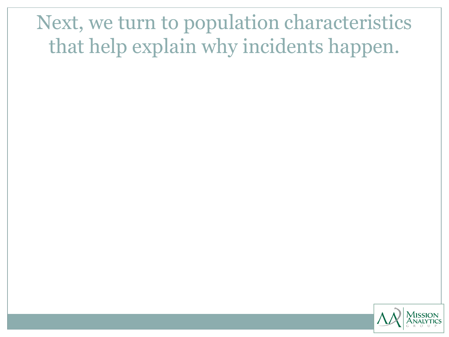# Next, we turn to population characteristics that help explain why incidents happen.

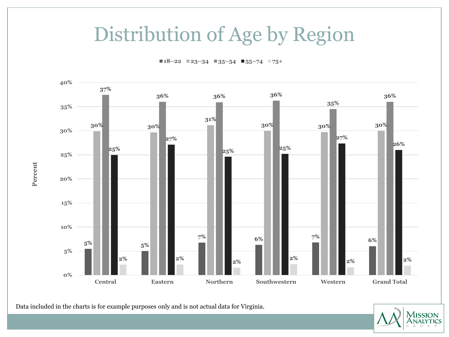#### Distribution of Age by Region

**18–22 23–34 35–54 55–74 75+**



Data included in the charts is for example purposes only and is not actual data for Virginia.

**Percent**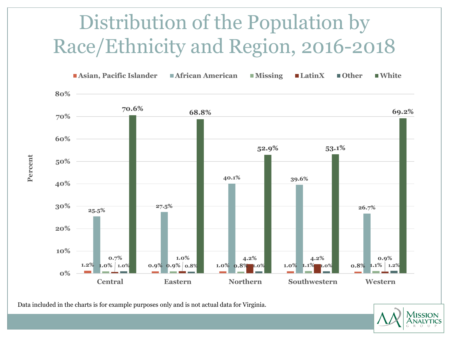# Distribution of the Population by Race/Ethnicity and Region, 2016-2018



Data included in the charts is for example purposes only and is not actual data for Virginia.

**Percent**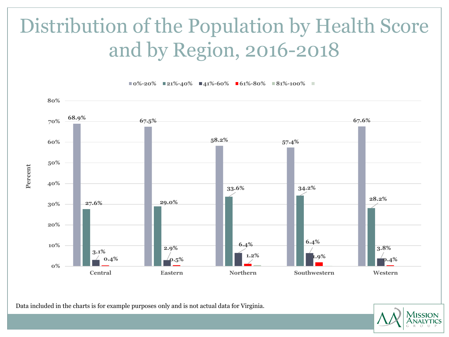# Distribution of the Population by Health Score and by Region, 2016-2018



**0%-20% 21%-40% 41%-60% 61%-80% 81%-100%**

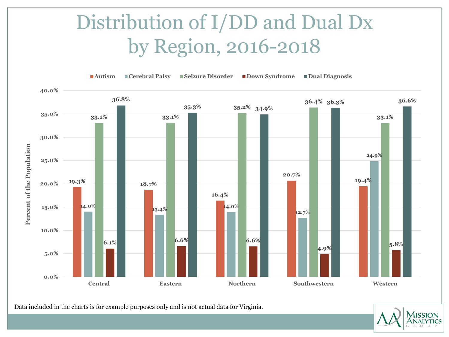# Distribution of I/DD and Dual Dx by Region, 2016-2018



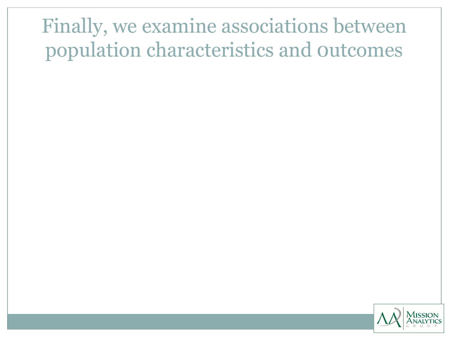# Finally, we examine associations between population characteristics and 0utcomes

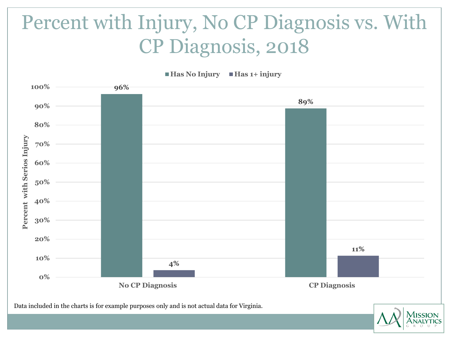# Percent with Injury, No CP Diagnosis vs. With CP Diagnosis, 2018



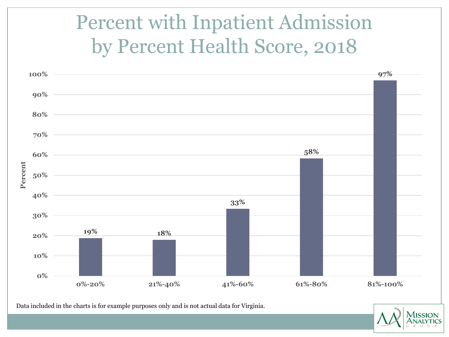# Percent with Inpatient Admission by Percent Health Score, 2018



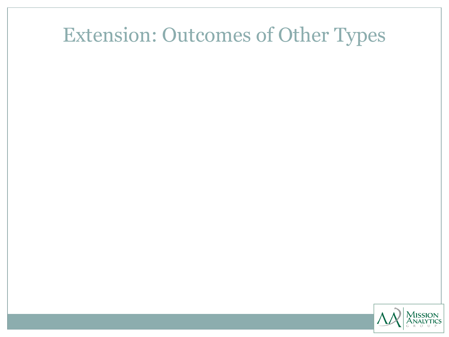### Extension: Outcomes of Other Types

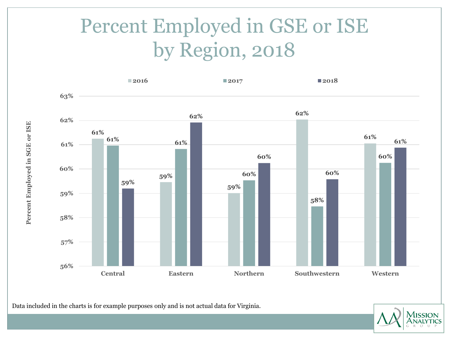# Percent Employed in GSE or ISE by Region, 2018



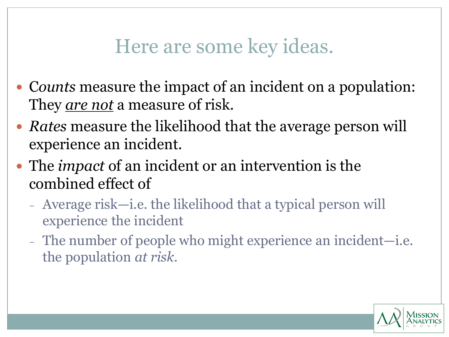#### Here are some key ideas.

- C*ounts* measure the impact of an incident on a population: They *are not* a measure of risk.
- *Rates* measure the likelihood that the average person will experience an incident.
- The *impact* of an incident or an intervention is the combined effect of
	- Average risk—i.e. the likelihood that a typical person will experience the incident
	- The number of people who might experience an incident—i.e. the population *at risk*.

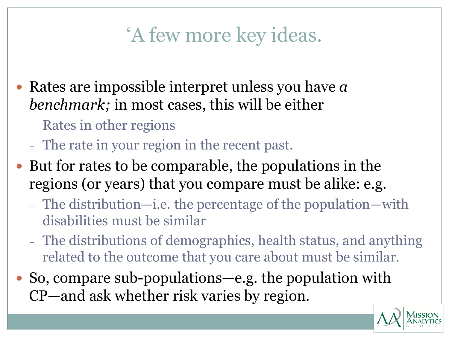# 'A few more key ideas.

- Rates are impossible interpret unless you have *a benchmark;* in most cases, this will be either
	- Rates in other regions
	- The rate in your region in the recent past.
- But for rates to be comparable, the populations in the regions (or years) that you compare must be alike: e.g.
	- The distribution—i.e. the percentage of the population—with disabilities must be similar
	- The distributions of demographics, health status, and anything related to the outcome that you care about must be similar.
- So, compare sub-populations—e.g. the population with CP—and ask whether risk varies by region.